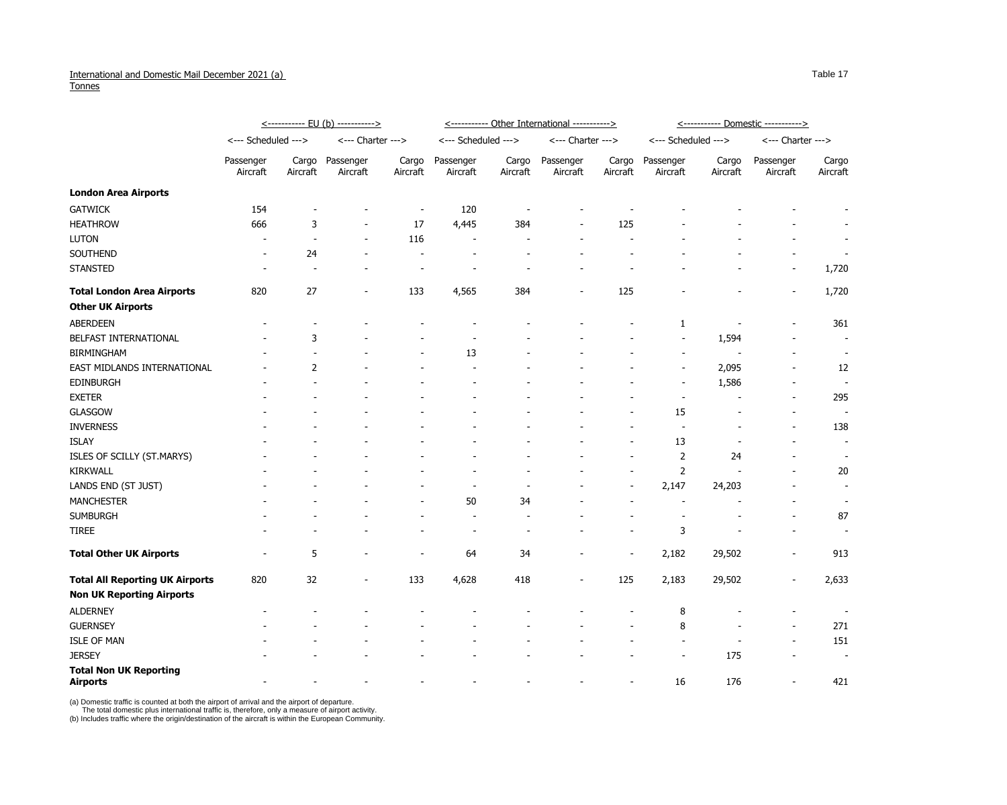## International and Domestic Mail December 2021 (a) **Tonnes**

|                                                  | <----------- EU (b) -----------> |                   |                          |                   | <----------- Other International -----------> |                   |                       |                   | <u>&lt;----------- Domestic -----------&gt;</u> |                   |                          |                          |
|--------------------------------------------------|----------------------------------|-------------------|--------------------------|-------------------|-----------------------------------------------|-------------------|-----------------------|-------------------|-------------------------------------------------|-------------------|--------------------------|--------------------------|
|                                                  | <--- Scheduled --->              |                   | <--- Charter --->        |                   | <--- Scheduled --->                           |                   | <--- Charter --->     |                   | <--- Scheduled --->                             |                   | <--- Charter --->        |                          |
|                                                  | Passenger<br>Aircraft            | Cargo<br>Aircraft | Passenger<br>Aircraft    | Cargo<br>Aircraft | Passenger<br>Aircraft                         | Cargo<br>Aircraft | Passenger<br>Aircraft | Cargo<br>Aircraft | Passenger<br>Aircraft                           | Cargo<br>Aircraft | Passenger<br>Aircraft    | Cargo<br>Aircraft        |
| <b>London Area Airports</b>                      |                                  |                   |                          |                   |                                               |                   |                       |                   |                                                 |                   |                          |                          |
| <b>GATWICK</b>                                   | 154                              |                   |                          |                   | 120                                           |                   |                       |                   |                                                 |                   |                          |                          |
| <b>HEATHROW</b>                                  | 666                              | 3                 |                          | 17                | 4,445                                         | 384               |                       | 125               |                                                 |                   |                          |                          |
| <b>LUTON</b>                                     |                                  |                   |                          | 116               |                                               |                   |                       |                   |                                                 |                   |                          |                          |
| SOUTHEND                                         |                                  | 24                |                          |                   |                                               |                   |                       |                   |                                                 |                   |                          |                          |
| <b>STANSTED</b>                                  |                                  |                   |                          |                   |                                               |                   |                       |                   |                                                 |                   | $\overline{\phantom{a}}$ | 1,720                    |
| <b>Total London Area Airports</b>                | 820                              | 27                |                          | 133               | 4,565                                         | 384               |                       | 125               |                                                 |                   |                          | 1,720                    |
| <b>Other UK Airports</b>                         |                                  |                   |                          |                   |                                               |                   |                       |                   |                                                 |                   |                          |                          |
| <b>ABERDEEN</b>                                  |                                  |                   |                          |                   |                                               |                   |                       |                   | 1                                               |                   |                          | 361                      |
| BELFAST INTERNATIONAL                            |                                  | 3                 |                          |                   |                                               |                   |                       |                   |                                                 | 1,594             |                          |                          |
| <b>BIRMINGHAM</b>                                |                                  |                   |                          |                   | 13                                            |                   |                       |                   |                                                 |                   |                          | $\overline{\phantom{a}}$ |
| EAST MIDLANDS INTERNATIONAL                      |                                  | 2                 |                          |                   |                                               |                   |                       |                   |                                                 | 2,095             |                          | 12                       |
| <b>EDINBURGH</b>                                 |                                  |                   |                          |                   |                                               |                   |                       |                   | $\overline{\phantom{a}}$                        | 1,586             |                          | $\overline{\phantom{a}}$ |
| <b>EXETER</b>                                    |                                  |                   |                          |                   |                                               |                   |                       |                   |                                                 |                   |                          | 295                      |
| <b>GLASGOW</b>                                   |                                  |                   |                          |                   |                                               |                   |                       |                   | 15                                              |                   |                          |                          |
| <b>INVERNESS</b>                                 |                                  |                   |                          |                   |                                               |                   |                       |                   |                                                 |                   |                          | 138                      |
| <b>ISLAY</b>                                     |                                  |                   |                          |                   |                                               |                   |                       |                   | 13                                              |                   |                          | $\overline{\phantom{a}}$ |
| ISLES OF SCILLY (ST.MARYS)                       |                                  |                   |                          |                   |                                               |                   |                       |                   | 2                                               | 24                |                          |                          |
| <b>KIRKWALL</b>                                  |                                  |                   |                          |                   |                                               |                   |                       |                   | $\overline{2}$                                  |                   |                          | 20                       |
| LANDS END (ST JUST)                              |                                  |                   |                          |                   |                                               |                   |                       |                   | 2,147                                           | 24,203            |                          | $\overline{\phantom{a}}$ |
| <b>MANCHESTER</b>                                |                                  |                   |                          |                   | 50                                            | 34                |                       |                   |                                                 |                   |                          |                          |
| <b>SUMBURGH</b>                                  |                                  |                   |                          |                   |                                               |                   |                       |                   |                                                 |                   |                          | 87                       |
| <b>TIREE</b>                                     |                                  |                   |                          |                   |                                               |                   |                       |                   | 3                                               |                   | $\overline{\phantom{a}}$ |                          |
| <b>Total Other UK Airports</b>                   | $\overline{\phantom{a}}$         | 5                 |                          |                   | 64                                            | 34                |                       |                   | 2,182                                           | 29,502            |                          | 913                      |
| <b>Total All Reporting UK Airports</b>           | 820                              | 32                | $\overline{\phantom{a}}$ | 133               | 4,628                                         | 418               |                       | 125               | 2,183                                           | 29,502            |                          | 2,633                    |
| <b>Non UK Reporting Airports</b>                 |                                  |                   |                          |                   |                                               |                   |                       |                   |                                                 |                   |                          |                          |
| <b>ALDERNEY</b>                                  |                                  |                   |                          |                   |                                               |                   |                       |                   | 8                                               |                   |                          | $\overline{\phantom{a}}$ |
| <b>GUERNSEY</b>                                  |                                  |                   |                          |                   |                                               |                   |                       |                   | 8                                               |                   |                          | 271                      |
| <b>ISLE OF MAN</b>                               |                                  |                   |                          |                   |                                               |                   |                       |                   |                                                 |                   |                          | 151                      |
| <b>JERSEY</b>                                    |                                  |                   |                          |                   |                                               |                   |                       |                   |                                                 | 175               |                          | $\overline{\phantom{a}}$ |
| <b>Total Non UK Reporting</b><br><b>Airports</b> |                                  |                   |                          |                   |                                               |                   |                       |                   | 16                                              | 176               |                          | 421                      |

(a) Domestic traffic is counted at both the airport of arrival and the airport of departure.

The total domestic plus international traffic is, therefore, only a measure of airport activity.

(b) Includes traffic where the origin/destination of the aircraft is within the European Community.